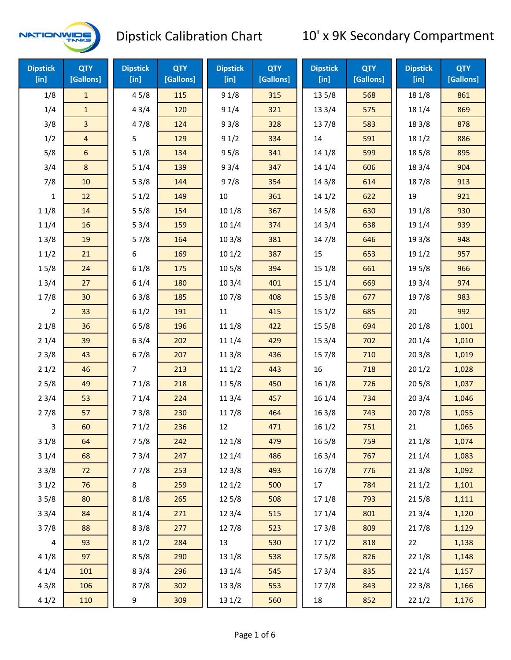

| <b>Dipstick</b><br>[in] | <b>QTY</b><br>[Gallons] | <b>Dipstick</b><br>$[$ in] | QTY<br>[Gallons] | <b>Dipstick</b><br>[in] | <b>QTY</b><br>[Gallons] | <b>Dipstick</b><br>[in] | <b>QTY</b><br>[Gallons] | <b>Dipstick</b><br>$[$ in] | <b>QTY</b><br>[Gallons] |
|-------------------------|-------------------------|----------------------------|------------------|-------------------------|-------------------------|-------------------------|-------------------------|----------------------------|-------------------------|
| 1/8                     | $\mathbf{1}$            | 45/8                       | 115              | 91/8                    | 315                     | 135/8                   | 568                     | 18 1/8                     | 861                     |
| 1/4                     | $\mathbf{1}$            | 43/4                       | 120              | 91/4                    | 321                     | 13 3/4                  | 575                     | 18 1/4                     | 869                     |
| 3/8                     | 3                       | 47/8                       | 124              | 93/8                    | 328                     | 137/8                   | 583                     | 18 3/8                     | 878                     |
| 1/2                     | $\overline{\mathbf{4}}$ | 5                          | 129              | 91/2                    | 334                     | 14                      | 591                     | 181/2                      | 886                     |
| 5/8                     | 6                       | 51/8                       | 134              | 95/8                    | 341                     | 14 1/8                  | 599                     | 185/8                      | 895                     |
| 3/4                     | 8                       | 51/4                       | 139              | 93/4                    | 347                     | 14 1/4                  | 606                     | 18 3/4                     | 904                     |
| 7/8                     | 10                      | 53/8                       | 144              | 97/8                    | 354                     | 143/8                   | 614                     | 187/8                      | 913                     |
| $\mathbf{1}$            | 12                      | 51/2                       | 149              | 10                      | 361                     | 141/2                   | 622                     | 19                         | 921                     |
| 11/8                    | 14                      | 55/8                       | 154              | 101/8                   | 367                     | 14 5/8                  | 630                     | 19 1/8                     | 930                     |
| 11/4                    | 16                      | 53/4                       | 159              | 10 1/4                  | 374                     | 14 3/4                  | 638                     | 19 1/4                     | 939                     |
| 13/8                    | 19                      | 57/8                       | 164              | 103/8                   | 381                     | 147/8                   | 646                     | 19 3/8                     | 948                     |
| 11/2                    | 21                      | 6                          | 169              | 101/2                   | 387                     | 15                      | 653                     | 191/2                      | 957                     |
| 15/8                    | 24                      | 61/8                       | 175              | 10 <sub>5</sub> /8      | 394                     | 15 1/8                  | 661                     | 19 5/8                     | 966                     |
| 13/4                    | 27                      | 61/4                       | 180              | 103/4                   | 401                     | 15 1/4                  | 669                     | 19 3/4                     | 974                     |
| 17/8                    | 30                      | 63/8                       | 185              | 107/8                   | 408                     | 15 3/8                  | 677                     | 197/8                      | 983                     |
| $\overline{2}$          | 33                      | 61/2                       | 191              | 11                      | 415                     | 151/2                   | 685                     | 20                         | 992                     |
| 21/8                    | 36                      | 65/8                       | 196              | 11 1/8                  | 422                     | 15 5/8                  | 694                     | 201/8                      | 1,001                   |
| 21/4                    | 39                      | 63/4                       | 202              | 11 1/4                  | 429                     | 153/4                   | 702                     | 201/4                      | 1,010                   |
| 23/8                    | 43                      | 67/8                       | 207              | 11 3/8                  | 436                     | 15 7/8                  | 710                     | 203/8                      | 1,019                   |
| 21/2                    | 46                      | $\overline{7}$             | 213              | 111/2                   | 443                     | 16                      | 718                     | 201/2                      | 1,028                   |
| 25/8                    | 49                      | 71/8                       | 218              | 115/8                   | 450                     | 16 1/8                  | 726                     | 205/8                      | 1,037                   |
| 23/4                    | 53                      | 71/4                       | 224              | 113/4                   | 457                     | 16 1/4                  | 734                     | 203/4                      | 1,046                   |
| 27/8                    | 57                      | 73/8                       | 230              | 117/8                   | 464                     | 16 3/8                  | 743                     | 207/8                      | 1,055                   |
| 3                       | 60                      | 71/2                       | 236              | 12                      | 471                     | 161/2                   | 751                     | 21                         | 1,065                   |
| 31/8                    | 64                      | 75/8                       | 242              | 12 1/8                  | 479                     | 16 5/8                  | 759                     | 211/8                      | 1,074                   |
| 31/4                    | 68                      | 73/4                       | 247              | 12 1/4                  | 486                     | 16 3/4                  | 767                     | 211/4                      | 1,083                   |
| 33/8                    | 72                      | 77/8                       | 253              | 12 3/8                  | 493                     | 16 7/8                  | 776                     | 213/8                      | 1,092                   |
| 31/2                    | 76                      | 8                          | 259              | 121/2                   | 500                     | 17                      | 784                     | 211/2                      | 1,101                   |
| 35/8                    | 80                      | 81/8                       | 265              | 125/8                   | 508                     | 17 1/8                  | 793                     | 215/8                      | 1,111                   |
| 33/4                    | 84                      | 81/4                       | 271              | 123/4                   | 515                     | 17 1/4                  | 801                     | 213/4                      | 1,120                   |
| 37/8                    | 88                      | 83/8                       | 277              | 127/8                   | 523                     | 173/8                   | 809                     | 217/8                      | 1,129                   |
| $\overline{\mathbf{4}}$ | 93                      | 81/2                       | 284              | 13                      | 530                     | 171/2                   | 818                     | 22                         | 1,138                   |
| 41/8                    | 97                      | 85/8                       | 290              | 13 1/8                  | 538                     | 175/8                   | 826                     | 221/8                      | 1,148                   |
| 41/4                    | 101                     | 83/4                       | 296              | 13 1/4                  | 545                     | 17 3/4                  | 835                     | 221/4                      | 1,157                   |
| 43/8                    | 106                     | 87/8                       | 302              | 13 3/8                  | 553                     | 177/8                   | 843                     | 223/8                      | 1,166                   |
| 41/2                    | 110                     | 9                          | 309              | 13 1/2                  | 560                     | 18                      | 852                     | 221/2                      | 1,176                   |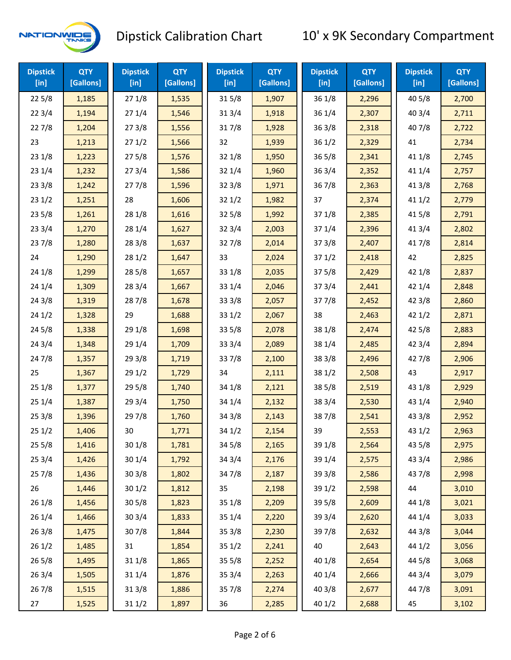

| <b>Dipstick</b><br>$[$ in] | <b>QTY</b><br>[Gallons] | <b>Dipstick</b><br>$[$ in] | <b>QTY</b><br>[Gallons] | <b>Dipstick</b><br>$[$ in] | <b>QTY</b><br>[Gallons] | <b>Dipstick</b><br>$[$ in] | <b>QTY</b><br>[Gallons] | <b>Dipstick</b><br>$[$ in] | <b>QTY</b><br>[Gallons] |
|----------------------------|-------------------------|----------------------------|-------------------------|----------------------------|-------------------------|----------------------------|-------------------------|----------------------------|-------------------------|
| 225/8                      | 1,185                   | 271/8                      | 1,535                   | 315/8                      | 1,907                   | 36 1/8                     | 2,296                   | 40 5/8                     | 2,700                   |
| 223/4                      | 1,194                   | 271/4                      | 1,546                   | 313/4                      | 1,918                   | 36 1/4                     | 2,307                   | 403/4                      | 2,711                   |
| 227/8                      | 1,204                   | 273/8                      | 1,556                   | 317/8                      | 1,928                   | 363/8                      | 2,318                   | 407/8                      | 2,722                   |
| 23                         | 1,213                   | 271/2                      | 1,566                   | 32                         | 1,939                   | 361/2                      | 2,329                   | 41                         | 2,734                   |
| 23 1/8                     | 1,223                   | 275/8                      | 1,576                   | 32 1/8                     | 1,950                   | 365/8                      | 2,341                   | 41 1/8                     | 2,745                   |
| 23 1/4                     | 1,232                   | 273/4                      | 1,586                   | 32 1/4                     | 1,960                   | 363/4                      | 2,352                   | 41 1/4                     | 2,757                   |
| 233/8                      | 1,242                   | 277/8                      | 1,596                   | 323/8                      | 1,971                   | 367/8                      | 2,363                   | 413/8                      | 2,768                   |
| 231/2                      | 1,251                   | 28                         | 1,606                   | 321/2                      | 1,982                   | 37                         | 2,374                   | 411/2                      | 2,779                   |
| 235/8                      | 1,261                   | 28 1/8                     | 1,616                   | 325/8                      | 1,992                   | 371/8                      | 2,385                   | 41 5/8                     | 2,791                   |
| 233/4                      | 1,270                   | 28 1/4                     | 1,627                   | 323/4                      | 2,003                   | 371/4                      | 2,396                   | 41 3/4                     | 2,802                   |
| 237/8                      | 1,280                   | 28 3/8                     | 1,637                   | 327/8                      | 2,014                   | 373/8                      | 2,407                   | 417/8                      | 2,814                   |
| 24                         | 1,290                   | 281/2                      | 1,647                   | 33                         | 2,024                   | 371/2                      | 2,418                   | 42                         | 2,825                   |
| 24 1/8                     | 1,299                   | 285/8                      | 1,657                   | 33 1/8                     | 2,035                   | 375/8                      | 2,429                   | 42 1/8                     | 2,837                   |
| 24 1/4                     | 1,309                   | 283/4                      | 1,667                   | 33 1/4                     | 2,046                   | 373/4                      | 2,441                   | 42 1/4                     | 2,848                   |
| 243/8                      | 1,319                   | 287/8                      | 1,678                   | 333/8                      | 2,057                   | 377/8                      | 2,452                   | 42 3/8                     | 2,860                   |
| 241/2                      | 1,328                   | 29                         | 1,688                   | 331/2                      | 2,067                   | 38                         | 2,463                   | 421/2                      | 2,871                   |
| 245/8                      | 1,338                   | 29 1/8                     | 1,698                   | 335/8                      | 2,078                   | 38 1/8                     | 2,474                   | 42 5/8                     | 2,883                   |
| 243/4                      | 1,348                   | 29 1/4                     | 1,709                   | 33 3/4                     | 2,089                   | 38 1/4                     | 2,485                   | 42 3/4                     | 2,894                   |
| 24 7/8                     | 1,357                   | 293/8                      | 1,719                   | 337/8                      | 2,100                   | 38 3/8                     | 2,496                   | 42 7/8                     | 2,906                   |
| 25                         | 1,367                   | 291/2                      | 1,729                   | 34                         | 2,111                   | 381/2                      | 2,508                   | 43                         | 2,917                   |
| 251/8                      | 1,377                   | 295/8                      | 1,740                   | 34 1/8                     | 2,121                   | 38 5/8                     | 2,519                   | 43 1/8                     | 2,929                   |
| 251/4                      | 1,387                   | 29 3/4                     | 1,750                   | 34 1/4                     | 2,132                   | 38 3/4                     | 2,530                   | 43 1/4                     | 2,940                   |
| 253/8                      | 1,396                   | 297/8                      | 1,760                   | 34 3/8                     | 2,143                   | 387/8                      | 2,541                   | 43 3/8                     | 2,952                   |
| 251/2                      | 1,406                   | 30                         | 1,771                   | 34 1/2                     | 2,154                   | 39                         | 2,553                   | 43 1/2                     | 2,963                   |
| 255/8                      | 1,416                   | 30 1/8                     | 1,781                   | 34 5/8                     | 2,165                   | 39 1/8                     | 2,564                   | 43 5/8                     | 2,975                   |
| 253/4                      | 1,426                   | 30 1/4                     | 1,792                   | 34 3/4                     | 2,176                   | 39 1/4                     | 2,575                   | 43 3/4                     | 2,986                   |
| 257/8                      | 1,436                   | 303/8                      | 1,802                   | 347/8                      | 2,187                   | 393/8                      | 2,586                   | 437/8                      | 2,998                   |
| 26                         | 1,446                   | 301/2                      | 1,812                   | 35                         | 2,198                   | 39 1/2                     | 2,598                   | 44                         | 3,010                   |
| 26 1/8                     | 1,456                   | 30 <sub>5/8</sub>          | 1,823                   | 35 1/8                     | 2,209                   | 39 5/8                     | 2,609                   | 44 1/8                     | 3,021                   |
| 26 1/4                     | 1,466                   | 30 3/4                     | 1,833                   | 35 1/4                     | 2,220                   | 39 3/4                     | 2,620                   | 44 1/4                     | 3,033                   |
| 26 3/8                     | 1,475                   | 307/8                      | 1,844                   | 35 3/8                     | 2,230                   | 397/8                      | 2,632                   | 44 3/8                     | 3,044                   |
| 261/2                      | 1,485                   | 31                         | 1,854                   | 35 1/2                     | 2,241                   | 40                         | 2,643                   | 44 1/2                     | 3,056                   |
| 265/8                      | 1,495                   | 31 1/8                     | 1,865                   | 355/8                      | 2,252                   | 40 1/8                     | 2,654                   | 44 5/8                     | 3,068                   |
| 263/4                      | 1,505                   | 31 1/4                     | 1,876                   | 35 3/4                     | 2,263                   | 40 1/4                     | 2,666                   | 44 3/4                     | 3,079                   |
| 267/8                      | 1,515                   | 31 3/8                     | 1,886                   | 357/8                      | 2,274                   | 40 3/8                     | 2,677                   | 447/8                      | 3,091                   |
| 27                         | 1,525                   | 311/2                      | 1,897                   | 36                         | 2,285                   | 40 1/2                     | 2,688                   | 45                         | 3,102                   |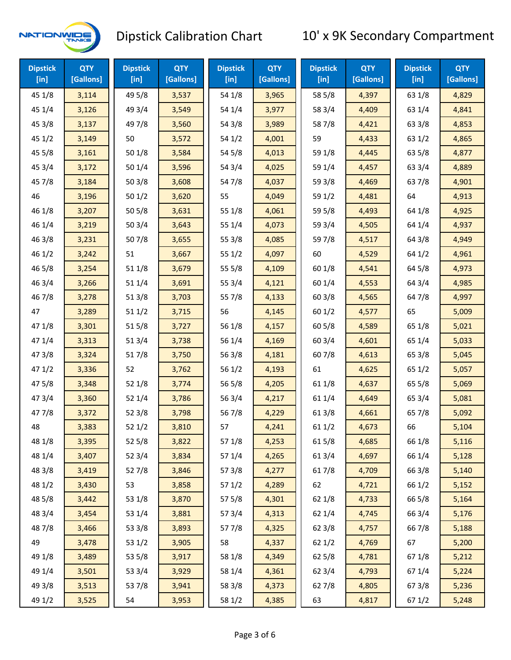

| <b>Dipstick</b><br>$[$ in] | <b>QTY</b><br>[Gallons] | <b>Dipstick</b><br>$[$ in] | <b>QTY</b><br>[Gallons] | <b>Dipstick</b><br>$[$ in] | <b>QTY</b><br>[Gallons] | <b>Dipstick</b><br>$[$ in] | <b>QTY</b><br>[Gallons] | <b>Dipstick</b><br>$[$ in] | <b>QTY</b><br>[Gallons] |
|----------------------------|-------------------------|----------------------------|-------------------------|----------------------------|-------------------------|----------------------------|-------------------------|----------------------------|-------------------------|
| 45 1/8                     | 3,114                   | 49 5/8                     | 3,537                   | 54 1/8                     | 3,965                   | 58 5/8                     | 4,397                   | 63 1/8                     | 4,829                   |
| 45 1/4                     | 3,126                   | 49 3/4                     | 3,549                   | 54 1/4                     | 3,977                   | 58 3/4                     | 4,409                   | 63 1/4                     | 4,841                   |
| 45 3/8                     | 3,137                   | 49 7/8                     | 3,560                   | 54 3/8                     | 3,989                   | 587/8                      | 4,421                   | 63 3/8                     | 4,853                   |
| 45 1/2                     | 3,149                   | 50                         | 3,572                   | 54 1/2                     | 4,001                   | 59                         | 4,433                   | 63 1/2                     | 4,865                   |
| 45 5/8                     | 3,161                   | 50 1/8                     | 3,584                   | 54 5/8                     | 4,013                   | 59 1/8                     | 4,445                   | 63 5/8                     | 4,877                   |
| 45 3/4                     | 3,172                   | 50 1/4                     | 3,596                   | 54 3/4                     | 4,025                   | 59 1/4                     | 4,457                   | 63 3/4                     | 4,889                   |
| 45 7/8                     | 3,184                   | 503/8                      | 3,608                   | 547/8                      | 4,037                   | 59 3/8                     | 4,469                   | 637/8                      | 4,901                   |
| 46                         | 3,196                   | 501/2                      | 3,620                   | 55                         | 4,049                   | 59 1/2                     | 4,481                   | 64                         | 4,913                   |
| 46 1/8                     | 3,207                   | 505/8                      | 3,631                   | 55 1/8                     | 4,061                   | 59 5/8                     | 4,493                   | 64 1/8                     | 4,925                   |
| 46 1/4                     | 3,219                   | 503/4                      | 3,643                   | 55 1/4                     | 4,073                   | 59 3/4                     | 4,505                   | 64 1/4                     | 4,937                   |
| 463/8                      | 3,231                   | 507/8                      | 3,655                   | 55 3/8                     | 4,085                   | 59 7/8                     | 4,517                   | 64 3/8                     | 4,949                   |
| 46 1/2                     | 3,242                   | 51                         | 3,667                   | 551/2                      | 4,097                   | 60                         | 4,529                   | 64 1/2                     | 4,961                   |
| 46 5/8                     | 3,254                   | 51 1/8                     | 3,679                   | 55 5/8                     | 4,109                   | 60 1/8                     | 4,541                   | 64 5/8                     | 4,973                   |
| 46 3/4                     | 3,266                   | 51 1/4                     | 3,691                   | 55 3/4                     | 4,121                   | 60 1/4                     | 4,553                   | 64 3/4                     | 4,985                   |
| 46 7/8                     | 3,278                   | 51 3/8                     | 3,703                   | 55 7/8                     | 4,133                   | 60 3/8                     | 4,565                   | 64 7/8                     | 4,997                   |
| 47                         | 3,289                   | 511/2                      | 3,715                   | 56                         | 4,145                   | 60 1/2                     | 4,577                   | 65                         | 5,009                   |
| 47 1/8                     | 3,301                   | 515/8                      | 3,727                   | 56 1/8                     | 4,157                   | 60 5/8                     | 4,589                   | 65 1/8                     | 5,021                   |
| 47 1/4                     | 3,313                   | 51 3/4                     | 3,738                   | 56 1/4                     | 4,169                   | 60 3/4                     | 4,601                   | 65 1/4                     | 5,033                   |
| 47 3/8                     | 3,324                   | 517/8                      | 3,750                   | 56 3/8                     | 4,181                   | 607/8                      | 4,613                   | 65 3/8                     | 5,045                   |
| 471/2                      | 3,336                   | 52                         | 3,762                   | 561/2                      | 4,193                   | 61                         | 4,625                   | 65 1/2                     | 5,057                   |
| 475/8                      | 3,348                   | 52 1/8                     | 3,774                   | 56 5/8                     | 4,205                   | 611/8                      | 4,637                   | 65 5/8                     | 5,069                   |
| 47 3/4                     | 3,360                   | 52 1/4                     | 3,786                   | 56 3/4                     | 4,217                   | 61 1/4                     | 4,649                   | 65 3/4                     | 5,081                   |
| 47 7/8                     | 3,372                   | 52 3/8                     | 3,798                   | 567/8                      | 4,229                   | 61 3/8                     | 4,661                   | 65 7/8                     | 5,092                   |
| 48                         | 3,383                   | 521/2                      | 3,810                   | 57                         | 4,241                   | 611/2                      | 4,673                   | 66                         | 5,104                   |
| 48 1/8                     | 3,395                   | 525/8                      | 3,822                   | 57 1/8                     | 4,253                   | 615/8                      | 4,685                   | 66 1/8                     | 5,116                   |
| 48 1/4                     | 3,407                   | 52 3/4                     | 3,834                   | 57 1/4                     | 4,265                   | 61 3/4                     | 4,697                   | 66 1/4                     | 5,128                   |
| 48 3/8                     | 3,419                   | 527/8                      | 3,846                   | 57 3/8                     | 4,277                   | 617/8                      | 4,709                   | 66 3/8                     | 5,140                   |
| 48 1/2                     | 3,430                   | 53                         | 3,858                   | 571/2                      | 4,289                   | 62                         | 4,721                   | 66 1/2                     | 5,152                   |
| 48 5/8                     | 3,442                   | 53 1/8                     | 3,870                   | 57 5/8                     | 4,301                   | 62 1/8                     | 4,733                   | 66 5/8                     | 5,164                   |
| 48 3/4                     | 3,454                   | 53 1/4                     | 3,881                   | 573/4                      | 4,313                   | 62 1/4                     | 4,745                   | 66 3/4                     | 5,176                   |
| 487/8                      | 3,466                   | 53 3/8                     | 3,893                   | 577/8                      | 4,325                   | 62 3/8                     | 4,757                   | 667/8                      | 5,188                   |
| 49                         | 3,478                   | 53 1/2                     | 3,905                   | 58                         | 4,337                   | 62 1/2                     | 4,769                   | 67                         | 5,200                   |
| 49 1/8                     | 3,489                   | 53 5/8                     | 3,917                   | 58 1/8                     | 4,349                   | 62 5/8                     | 4,781                   | 671/8                      | 5,212                   |
| 49 1/4                     | 3,501                   | 53 3/4                     | 3,929                   | 58 1/4                     | 4,361                   | 62 3/4                     | 4,793                   | 67 1/4                     | 5,224                   |
| 49 3/8                     | 3,513                   | 537/8                      | 3,941                   | 58 3/8                     | 4,373                   | 627/8                      | 4,805                   | 673/8                      | 5,236                   |
| 49 1/2                     | 3,525                   | 54                         | 3,953                   | 58 1/2                     | 4,385                   | 63                         | 4,817                   | 67 1/2                     | 5,248                   |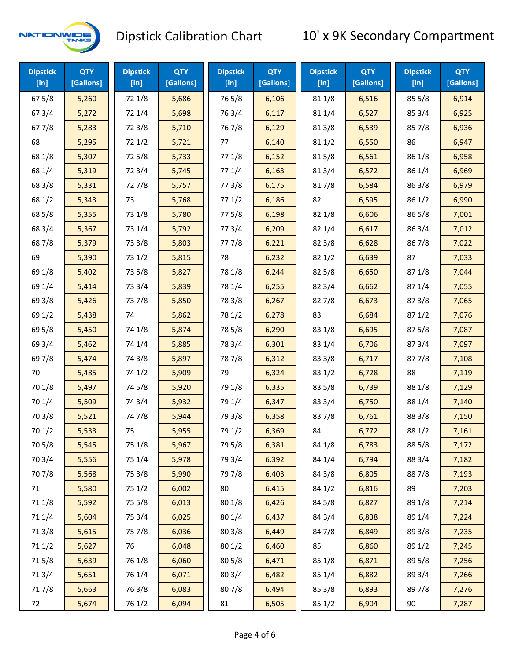

| <b>Dipstick</b><br>$[$ in] | <b>QTY</b><br>[Gallons] | <b>Dipstick</b><br>$[$ in] | <b>QTY</b><br>[Gallons] | <b>Dipstick</b><br>$[$ in] | <b>QTY</b><br>[Gallons] | <b>Dipstick</b><br>$[$ in] | <b>QTY</b><br>[Gallons] | <b>Dipstick</b><br>$[$ in] | <b>QTY</b><br>[Gallons] |
|----------------------------|-------------------------|----------------------------|-------------------------|----------------------------|-------------------------|----------------------------|-------------------------|----------------------------|-------------------------|
| 67 5/8                     | 5,260                   | 72 1/8                     | 5,686                   | 765/8                      | 6,106                   | 81 1/8                     | 6,516                   | 85 5/8                     | 6,914                   |
| 67 3/4                     | 5,272                   | 72 1/4                     | 5,698                   | 763/4                      | 6,117                   | 81 1/4                     | 6,527                   | 85 3/4                     | 6,925                   |
| 67 7/8                     | 5,283                   | 72 3/8                     | 5,710                   | 767/8                      | 6,129                   | 81 3/8                     | 6,539                   | 85 7/8                     | 6,936                   |
| 68                         | 5,295                   | 721/2                      | 5,721                   | 77                         | 6,140                   | 811/2                      | 6,550                   | 86                         | 6,947                   |
| 68 1/8                     | 5,307                   | 725/8                      | 5,733                   | 77 1/8                     | 6,152                   | 815/8                      | 6,561                   | 86 1/8                     | 6,958                   |
| 68 1/4                     | 5,319                   | 72 3/4                     | 5,745                   | 77 1/4                     | 6,163                   | 813/4                      | 6,572                   | 86 1/4                     | 6,969                   |
| 68 3/8                     | 5,331                   | 727/8                      | 5,757                   | 77 3/8                     | 6,175                   | 817/8                      | 6,584                   | 86 3/8                     | 6,979                   |
| 68 1/2                     | 5,343                   | 73                         | 5,768                   | 771/2                      | 6,186                   | 82                         | 6,595                   | 86 1/2                     | 6,990                   |
| 68 5/8                     | 5,355                   | 73 1/8                     | 5,780                   | 775/8                      | 6,198                   | 82 1/8                     | 6,606                   | 86 5/8                     | 7,001                   |
| 68 3/4                     | 5,367                   | 73 1/4                     | 5,792                   | 773/4                      | 6,209                   | 82 1/4                     | 6,617                   | 86 3/4                     | 7,012                   |
| 687/8                      | 5,379                   | 73 3/8                     | 5,803                   | 777/8                      | 6,221                   | 82 3/8                     | 6,628                   | 867/8                      | 7,022                   |
| 69                         | 5,390                   | 73 1/2                     | 5,815                   | 78                         | 6,232                   | 82 1/2                     | 6,639                   | 87                         | 7,033                   |
| 69 1/8                     | 5,402                   | 73 5/8                     | 5,827                   | 78 1/8                     | 6,244                   | 82 5/8                     | 6,650                   | 871/8                      | 7,044                   |
| 69 1/4                     | 5,414                   | 73 3/4                     | 5,839                   | 78 1/4                     | 6,255                   | 82 3/4                     | 6,662                   | 87 1/4                     | 7,055                   |
| 69 3/8                     | 5,426                   | 737/8                      | 5,850                   | 78 3/8                     | 6,267                   | 827/8                      | 6,673                   | 87 3/8                     | 7,065                   |
| 69 1/2                     | 5,438                   | 74                         | 5,862                   | 78 1/2                     | 6,278                   | 83                         | 6,684                   | 871/2                      | 7,076                   |
| 69 5/8                     | 5,450                   | 74 1/8                     | 5,874                   | 78 5/8                     | 6,290                   | 83 1/8                     | 6,695                   | 87 5/8                     | 7,087                   |
| 69 3/4                     | 5,462                   | 74 1/4                     | 5,885                   | 78 3/4                     | 6,301                   | 83 1/4                     | 6,706                   | 87 3/4                     | 7,097                   |
| 69 7/8                     | 5,474                   | 74 3/8                     | 5,897                   | 787/8                      | 6,312                   | 83 3/8                     | 6,717                   | 877/8                      | 7,108                   |
| 70                         | 5,485                   | 74 1/2                     | 5,909                   | 79                         | 6,324                   | 83 1/2                     | 6,728                   | 88                         | 7,119                   |
| 70 1/8                     | 5,497                   | 74 5/8                     | 5,920                   | 79 1/8                     | 6,335                   | 83 5/8                     | 6,739                   | 88 1/8                     | 7,129                   |
| 70 1/4                     | 5,509                   | 74 3/4                     | 5,932                   | 79 1/4                     | 6,347                   | 83 3/4                     | 6,750                   | 88 1/4                     | 7,140                   |
| 70 3/8                     | 5,521                   | 747/8                      | 5,944                   | 79 3/8                     | 6,358                   | 837/8                      | 6,761                   | 88 3/8                     | 7,150                   |
| 70 1/2                     | 5,533                   | 75                         | 5,955                   | 79 1/2                     | 6,369                   | 84                         | 6,772                   | 88 1/2                     | 7,161                   |
| 70 5/8                     | 5,545                   | 75 1/8                     | 5,967                   | 79 5/8                     | 6,381                   | 84 1/8                     | 6,783                   | 88 5/8                     | 7,172                   |
| 70 3/4                     | 5,556                   | 75 1/4                     | 5,978                   | 79 3/4                     | 6,392                   | 84 1/4                     | 6,794                   | 88 3/4                     | 7,182                   |
| 70 7/8                     | 5,568                   | 75 3/8                     | 5,990                   | 79 7/8                     | 6,403                   | 84 3/8                     | 6,805                   | 887/8                      | 7,193                   |
| 71                         | 5,580                   | 75 1/2                     | 6,002                   | 80                         | 6,415                   | 84 1/2                     | 6,816                   | 89                         | 7,203                   |
| 71 1/8                     | 5,592                   | 75 5/8                     | 6,013                   | 80 1/8                     | 6,426                   | 845/8                      | 6,827                   | 89 1/8                     | 7,214                   |
| 71 1/4                     | 5,604                   | 75 3/4                     | 6,025                   | 80 1/4                     | 6,437                   | 84 3/4                     | 6,838                   | 89 1/4                     | 7,224                   |
| 713/8                      | 5,615                   | 75 7/8                     | 6,036                   | 80 3/8                     | 6,449                   | 847/8                      | 6,849                   | 89 3/8                     | 7,235                   |
| 71 1/2                     | 5,627                   | 76                         | 6,048                   | 80 1/2                     | 6,460                   | 85                         | 6,860                   | 89 1/2                     | 7,245                   |
| 715/8                      | 5,639                   | 76 1/8                     | 6,060                   | 80 5/8                     | 6,471                   | 85 1/8                     | 6,871                   | 89 5/8                     | 7,256                   |
| 713/4                      | 5,651                   | 76 1/4                     | 6,071                   | 80 3/4                     | 6,482                   | 85 1/4                     | 6,882                   | 89 3/4                     | 7,266                   |
| 717/8                      | 5,663                   | 763/8                      | 6,083                   | 807/8                      | 6,494                   | 85 3/8                     | 6,893                   | 897/8                      | 7,276                   |
| 72                         | 5,674                   | 76 1/2                     | 6,094                   | 81                         | 6,505                   | 85 1/2                     | 6,904                   | 90                         | 7,287                   |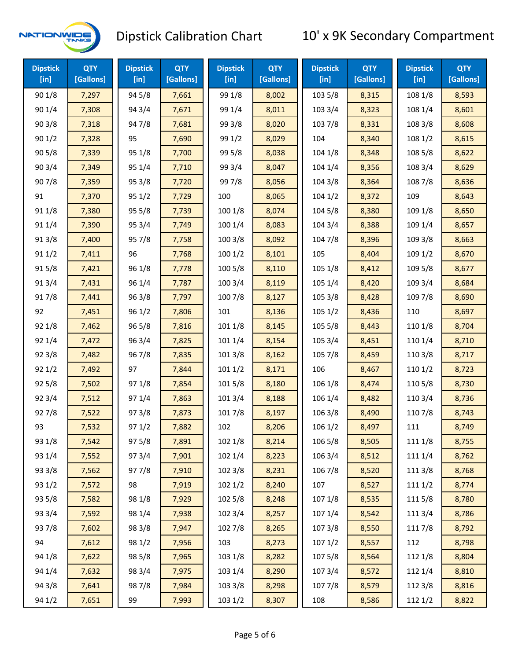

| <b>Dipstick</b><br>$[$ in] | <b>QTY</b><br>[Gallons] | <b>Dipstick</b><br>$[$ in] | <b>QTY</b><br>[Gallons] | <b>Dipstick</b><br>[in] | <b>QTY</b><br>[Gallons] | <b>Dipstick</b><br>$[$ in] | <b>QTY</b><br>[Gallons] | <b>Dipstick</b><br>$[$ in] | <b>QTY</b><br>[Gallons] |
|----------------------------|-------------------------|----------------------------|-------------------------|-------------------------|-------------------------|----------------------------|-------------------------|----------------------------|-------------------------|
| 90 1/8                     | 7,297                   | 94 5/8                     | 7,661                   | 99 1/8                  | 8,002                   | 103 5/8                    | 8,315                   | 108 1/8                    | 8,593                   |
| 90 1/4                     | 7,308                   | 94 3/4                     | 7,671                   | 99 1/4                  | 8,011                   | 103 3/4                    | 8,323                   | 108 1/4                    | 8,601                   |
| 903/8                      | 7,318                   | 947/8                      | 7,681                   | 99 3/8                  | 8,020                   | 103 7/8                    | 8,331                   | 108 3/8                    | 8,608                   |
| 901/2                      | 7,328                   | 95                         | 7,690                   | 99 1/2                  | 8,029                   | 104                        | 8,340                   | 108 1/2                    | 8,615                   |
| 905/8                      | 7,339                   | 95 1/8                     | 7,700                   | 99 5/8                  | 8,038                   | 104 1/8                    | 8,348                   | 108 5/8                    | 8,622                   |
| 903/4                      | 7,349                   | 95 1/4                     | 7,710                   | 99 3/4                  | 8,047                   | 104 1/4                    | 8,356                   | 108 3/4                    | 8,629                   |
| 907/8                      | 7,359                   | 95 3/8                     | 7,720                   | 997/8                   | 8,056                   | 104 3/8                    | 8,364                   | 108 7/8                    | 8,636                   |
| 91                         | 7,370                   | 95 1/2                     | 7,729                   | 100                     | 8,065                   | 1041/2                     | 8,372                   | 109                        | 8,643                   |
| 91 1/8                     | 7,380                   | 95 5/8                     | 7,739                   | 100 1/8                 | 8,074                   | 104 5/8                    | 8,380                   | 109 1/8                    | 8,650                   |
| 91 1/4                     | 7,390                   | 95 3/4                     | 7,749                   | 100 1/4                 | 8,083                   | 104 3/4                    | 8,388                   | 109 1/4                    | 8,657                   |
| 913/8                      | 7,400                   | 95 7/8                     | 7,758                   | 100 3/8                 | 8,092                   | 104 7/8                    | 8,396                   | 109 3/8                    | 8,663                   |
| 911/2                      | 7,411                   | 96                         | 7,768                   | 1001/2                  | 8,101                   | 105                        | 8,404                   | 109 1/2                    | 8,670                   |
| 915/8                      | 7,421                   | 96 1/8                     | 7,778                   | 100 5/8                 | 8,110                   | 105 1/8                    | 8,412                   | 109 5/8                    | 8,677                   |
| 913/4                      | 7,431                   | 96 1/4                     | 7,787                   | 100 3/4                 | 8,119                   | 105 1/4                    | 8,420                   | 109 3/4                    | 8,684                   |
| 917/8                      | 7,441                   | 96 3/8                     | 7,797                   | 100 7/8                 | 8,127                   | 105 3/8                    | 8,428                   | 109 7/8                    | 8,690                   |
| 92                         | 7,451                   | 96 1/2                     | 7,806                   | 101                     | 8,136                   | 1051/2                     | 8,436                   | 110                        | 8,697                   |
| 92 1/8                     | 7,462                   | 96 5/8                     | 7,816                   | 101 1/8                 | 8,145                   | 105 5/8                    | 8,443                   | 110 1/8                    | 8,704                   |
| 92 1/4                     | 7,472                   | 96 3/4                     | 7,825                   | 101 1/4                 | 8,154                   | 105 3/4                    | 8,451                   | 110 1/4                    | 8,710                   |
| 923/8                      | 7,482                   | 967/8                      | 7,835                   | 101 3/8                 | 8,162                   | 105 7/8                    | 8,459                   | 110 3/8                    | 8,717                   |
| 921/2                      | 7,492                   | 97                         | 7,844                   | 1011/2                  | 8,171                   | 106                        | 8,467                   | 110 1/2                    | 8,723                   |
| 925/8                      | 7,502                   | 97 1/8                     | 7,854                   | 101 5/8                 | 8,180                   | 106 1/8                    | 8,474                   | 110 5/8                    | 8,730                   |
| 923/4                      | 7,512                   | 97 1/4                     | 7,863                   | 101 3/4                 | 8,188                   | 106 1/4                    | 8,482                   | 110 3/4                    | 8,736                   |
| 927/8                      | 7,522                   | 97 3/8                     | 7,873                   | 101 7/8                 | 8,197                   | 106 3/8                    | 8,490                   | 110 7/8                    | 8,743                   |
| 93                         | 7,532                   | 97 1/2                     | 7,882                   | 102                     | 8,206                   | 106 1/2                    | 8,497                   | 111                        | 8,749                   |
| 93 1/8                     | 7,542                   | 975/8                      | 7,891                   | 102 1/8                 | 8,214                   | 106 5/8                    | 8,505                   | 111 1/8                    | 8,755                   |
| 93 1/4                     | 7,552                   | 973/4                      | 7,901                   | 102 1/4                 | 8,223                   | 106 3/4                    | 8,512                   | 111 1/4                    | 8,762                   |
| 93 3/8                     | 7,562                   | 977/8                      | 7,910                   | 102 3/8                 | 8,231                   | 106 7/8                    | 8,520                   | 111 3/8                    | 8,768                   |
| 93 1/2                     | 7,572                   | 98                         | 7,919                   | 1021/2                  | 8,240                   | 107                        | 8,527                   | 1111/2                     | 8,774                   |
| 93 5/8                     | 7,582                   | 98 1/8                     | 7,929                   | 102 5/8                 | 8,248                   | 107 1/8                    | 8,535                   | 1115/8                     | 8,780                   |
| 93 3/4                     | 7,592                   | 98 1/4                     | 7,938                   | 102 3/4                 | 8,257                   | 107 1/4                    | 8,542                   | 111 3/4                    | 8,786                   |
| 937/8                      | 7,602                   | 98 3/8                     | 7,947                   | 102 7/8                 | 8,265                   | 1073/8                     | 8,550                   | 111 7/8                    | 8,792                   |
| 94                         | 7,612                   | 98 1/2                     | 7,956                   | 103                     | 8,273                   | 107 1/2                    | 8,557                   | 112                        | 8,798                   |
| 94 1/8                     | 7,622                   | 98 5/8                     | 7,965                   | 103 1/8                 | 8,282                   | 1075/8                     | 8,564                   | 112 1/8                    | 8,804                   |
| 94 1/4                     | 7,632                   | 98 3/4                     | 7,975                   | 103 1/4                 | 8,290                   | 107 3/4                    | 8,572                   | 112 1/4                    | 8,810                   |
| 94 3/8                     | 7,641                   | 987/8                      | 7,984                   | 103 3/8                 | 8,298                   | 1077/8                     | 8,579                   | 112 3/8                    | 8,816                   |
| 94 1/2                     | 7,651                   | 99                         | 7,993                   | 103 1/2                 | 8,307                   | 108                        | 8,586                   | 112 1/2                    | 8,822                   |